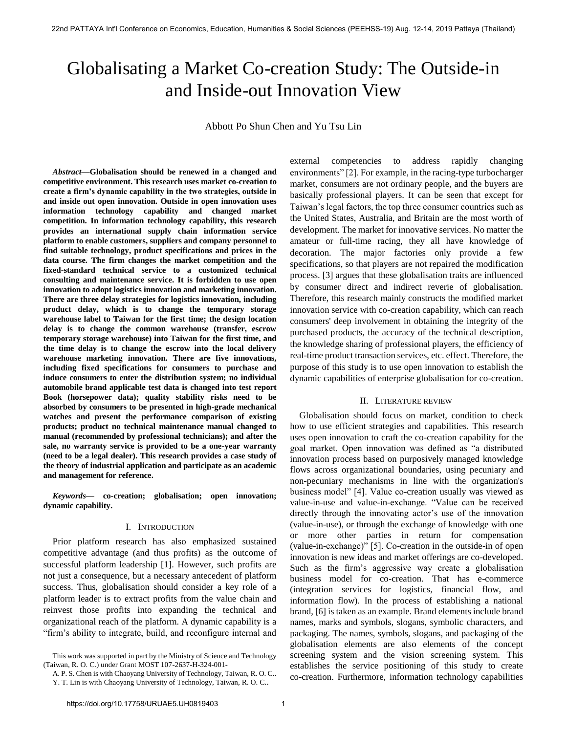# Globalisating a Market Co-creation Study: The Outside-in and Inside-out Innovation View

Abbott Po Shun Chen and Yu Tsu Lin

*Abstract***—Globalisation should be renewed in a changed and competitive environment. This research uses market co-creation to create a firm's dynamic capability in the two strategies, outside in and inside out open innovation. Outside in open innovation uses information technology capability and changed market competition. In information technology capability, this research provides an international supply chain information service platform to enable customers, suppliers and company personnel to find suitable technology, product specifications and prices in the data course. The firm changes the market competition and the fixed-standard technical service to a customized technical consulting and maintenance service. It is forbidden to use open innovation to adopt logistics innovation and marketing innovation. There are three delay strategies for logistics innovation, including product delay, which is to change the temporary storage warehouse label to Taiwan for the first time; the design location delay is to change the common warehouse (transfer, escrow temporary storage warehouse) into Taiwan for the first time, and the time delay is to change the escrow into the local delivery warehouse marketing innovation. There are five innovations, including fixed specifications for consumers to purchase and induce consumers to enter the distribution system; no individual automobile brand applicable test data is changed into test report Book (horsepower data); quality stability risks need to be absorbed by consumers to be presented in high-grade mechanical watches and present the performance comparison of existing products; product no technical maintenance manual changed to manual (recommended by professional technicians); and after the sale, no warranty service is provided to be a one-year warranty (need to be a legal dealer). This research provides a case study of the theory of industrial application and participate as an academic and management for reference.** 

*Keywords***— co-creation; globalisation; open innovation; dynamic capability.** 

#### I. INTRODUCTION

Prior platform research has also emphasized sustained competitive advantage (and thus profits) as the outcome of successful platform leadership [1]. However, such profits are not just a consequence, but a necessary antecedent of platform success. Thus, globalisation should consider a key role of a platform leader is to extract profits from the value chain and reinvest those profits into expanding the technical and organizational reach of the platform. A dynamic capability is a "firm's ability to integrate, build, and reconfigure internal and

A. P. S. Chen is with Chaoyang University of Technology, Taiwan, R. O. C.. Y. T. Lin is with Chaoyang University of Technology, Taiwan, R. O. C..

external competencies to address rapidly changing environments" [2]. For example, in the racing-type turbocharger market, consumers are not ordinary people, and the buyers are basically professional players. It can be seen that except for Taiwan's legal factors, the top three consumer countries such as the United States, Australia, and Britain are the most worth of development. The market for innovative services. No matter the amateur or full-time racing, they all have knowledge of decoration. The major factories only provide a few specifications, so that players are not repaired the modification process. [3] argues that these globalisation traits are influenced by consumer direct and indirect reverie of globalisation. Therefore, this research mainly constructs the modified market innovation service with co-creation capability, which can reach consumers' deep involvement in obtaining the integrity of the purchased products, the accuracy of the technical description, the knowledge sharing of professional players, the efficiency of real-time product transaction services, etc. effect. Therefore, the purpose of this study is to use open innovation to establish the dynamic capabilities of enterprise globalisation for co-creation.

#### II. LITERATURE REVIEW

Globalisation should focus on market, condition to check how to use efficient strategies and capabilities. This research uses open innovation to craft the co-creation capability for the goal market. Open innovation was defined as "a distributed innovation process based on purposively managed knowledge flows across organizational boundaries, using pecuniary and non-pecuniary mechanisms in line with the organization's business model" [4]. Value co-creation usually was viewed as value-in-use and value-in-exchange. "Value can be received directly through the innovating actor's use of the innovation (value-in-use), or through the exchange of knowledge with one or more other parties in return for compensation (value-in-exchange)" [5]. Co-creation in the outside-in of open innovation is new ideas and market offerings are co-developed. Such as the firm's aggressive way create a globalisation business model for co-creation. That has e-commerce (integration services for logistics, financial flow, and information flow). In the process of establishing a national brand, [6] is taken as an example. Brand elements include brand names, marks and symbols, slogans, symbolic characters, and packaging. The names, symbols, slogans, and packaging of the globalisation elements are also elements of the concept screening system and the vision screening system. This establishes the service positioning of this study to create co-creation. Furthermore, information technology capabilities

This work was supported in part by the Ministry of Science and Technology (Taiwan, R. O. C.) under Grant MOST 107-2637-H-324-001-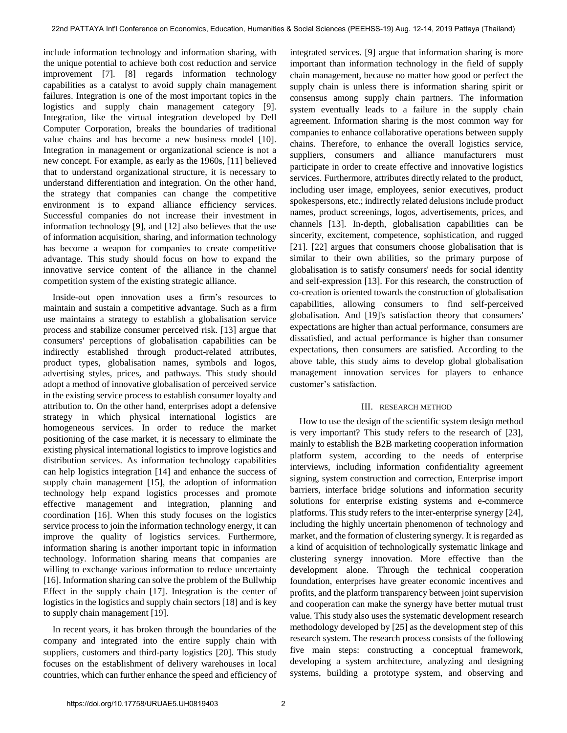include information technology and information sharing, with the unique potential to achieve both cost reduction and service improvement [7]. [8] regards information technology capabilities as a catalyst to avoid supply chain management failures. Integration is one of the most important topics in the logistics and supply chain management category [9]. Integration, like the virtual integration developed by Dell Computer Corporation, breaks the boundaries of traditional value chains and has become a new business model [10]. Integration in management or organizational science is not a new concept. For example, as early as the 1960s, [11] believed that to understand organizational structure, it is necessary to understand differentiation and integration. On the other hand, the strategy that companies can change the competitive environment is to expand alliance efficiency services. Successful companies do not increase their investment in information technology [9], and [12] also believes that the use of information acquisition, sharing, and information technology has become a weapon for companies to create competitive advantage. This study should focus on how to expand the innovative service content of the alliance in the channel competition system of the existing strategic alliance.

Inside-out open innovation uses a firm's resources to maintain and sustain a competitive advantage. Such as a firm use maintains a strategy to establish a globalisation service process and stabilize consumer perceived risk. [13] argue that consumers' perceptions of globalisation capabilities can be indirectly established through product-related attributes, product types, globalisation names, symbols and logos, advertising styles, prices, and pathways. This study should adopt a method of innovative globalisation of perceived service in the existing service process to establish consumer loyalty and attribution to. On the other hand, enterprises adopt a defensive strategy in which physical international logistics are homogeneous services. In order to reduce the market positioning of the case market, it is necessary to eliminate the existing physical international logistics to improve logistics and distribution services. As information technology capabilities can help logistics integration [14] and enhance the success of supply chain management [15], the adoption of information technology help expand logistics processes and promote effective management and integration, planning and coordination [16]. When this study focuses on the logistics service process to join the information technology energy, it can improve the quality of logistics services. Furthermore, information sharing is another important topic in information technology. Information sharing means that companies are willing to exchange various information to reduce uncertainty [16]. Information sharing can solve the problem of the Bullwhip Effect in the supply chain [17]. Integration is the center of logistics in the logistics and supply chain sectors [18] and is key to supply chain management [19].

In recent years, it has broken through the boundaries of the company and integrated into the entire supply chain with suppliers, customers and third-party logistics [20]. This study focuses on the establishment of delivery warehouses in local countries, which can further enhance the speed and efficiency of integrated services. [9] argue that information sharing is more important than information technology in the field of supply chain management, because no matter how good or perfect the supply chain is unless there is information sharing spirit or consensus among supply chain partners. The information system eventually leads to a failure in the supply chain agreement. Information sharing is the most common way for companies to enhance collaborative operations between supply chains. Therefore, to enhance the overall logistics service, suppliers, consumers and alliance manufacturers must participate in order to create effective and innovative logistics services. Furthermore, attributes directly related to the product, including user image, employees, senior executives, product spokespersons, etc.; indirectly related delusions include product names, product screenings, logos, advertisements, prices, and channels [13]. In-depth, globalisation capabilities can be sincerity, excitement, competence, sophistication, and rugged [21]. [22] argues that consumers choose globalisation that is similar to their own abilities, so the primary purpose of globalisation is to satisfy consumers' needs for social identity and self-expression [13]. For this research, the construction of co-creation is oriented towards the construction of globalisation capabilities, allowing consumers to find self-perceived globalisation. And [19]'s satisfaction theory that consumers' expectations are higher than actual performance, consumers are dissatisfied, and actual performance is higher than consumer expectations, then consumers are satisfied. According to the above table, this study aims to develop global globalisation management innovation services for players to enhance customer's satisfaction.

#### III. RESEARCH METHOD

How to use the design of the scientific system design method is very important? This study refers to the research of [23], mainly to establish the B2B marketing cooperation information platform system, according to the needs of enterprise interviews, including information confidentiality agreement signing, system construction and correction, Enterprise import barriers, interface bridge solutions and information security solutions for enterprise existing systems and e-commerce platforms. This study refers to the inter-enterprise synergy [24], including the highly uncertain phenomenon of technology and market, and the formation of clustering synergy. It is regarded as a kind of acquisition of technologically systematic linkage and clustering synergy innovation. More effective than the development alone. Through the technical cooperation foundation, enterprises have greater economic incentives and profits, and the platform transparency between joint supervision and cooperation can make the synergy have better mutual trust value. This study also uses the systematic development research methodology developed by [25] as the development step of this research system. The research process consists of the following five main steps: constructing a conceptual framework, developing a system architecture, analyzing and designing systems, building a prototype system, and observing and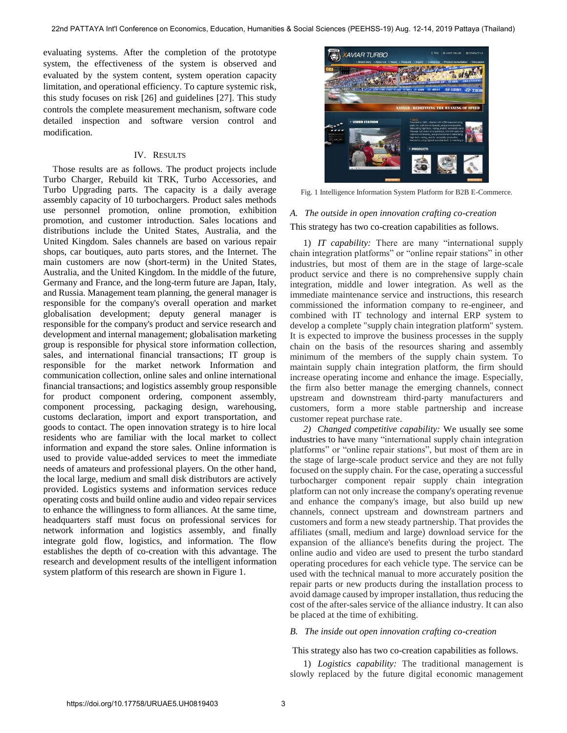evaluating systems. After the completion of the prototype system, the effectiveness of the system is observed and evaluated by the system content, system operation capacity limitation, and operational efficiency. To capture systemic risk, this study focuses on risk [26] and guidelines [27]. This study controls the complete measurement mechanism, software code detailed inspection and software version control and modification.

#### IV. RESULTS

Those results are as follows. The product projects include Turbo Charger, Rebuild kit TRK, Turbo Accessories, and Turbo Upgrading parts. The capacity is a daily average assembly capacity of 10 turbochargers. Product sales methods use personnel promotion, online promotion, exhibition promotion, and customer introduction. Sales locations and distributions include the United States, Australia, and the United Kingdom. Sales channels are based on various repair shops, car boutiques, auto parts stores, and the Internet. The main customers are now (short-term) in the United States, Australia, and the United Kingdom. In the middle of the future, Germany and France, and the long-term future are Japan, Italy, and Russia. Management team planning, the general manager is responsible for the company's overall operation and market globalisation development; deputy general manager is responsible for the company's product and service research and development and internal management; globalisation marketing group is responsible for physical store information collection, sales, and international financial transactions; IT group is responsible for the market network Information and communication collection, online sales and online international financial transactions; and logistics assembly group responsible for product component ordering, component assembly, component processing, packaging design, warehousing, customs declaration, import and export transportation, and goods to contact. The open innovation strategy is to hire local residents who are familiar with the local market to collect information and expand the store sales. Online information is used to provide value-added services to meet the immediate needs of amateurs and professional players. On the other hand, the local large, medium and small disk distributors are actively provided. Logistics systems and information services reduce operating costs and build online audio and video repair services to enhance the willingness to form alliances. At the same time, headquarters staff must focus on professional services for network information and logistics assembly, and finally integrate gold flow, logistics, and information. The flow establishes the depth of co-creation with this advantage. The research and development results of the intelligent information system platform of this research are shown in Figure 1.



Fig. 1 Intelligence Information System Platform for B2B E-Commerce.

## *A. The outside in open innovation crafting co-creation*  This strategy has two co-creation capabilities as follows.

1) *IT capability:* There are many "international supply chain integration platforms" or "online repair stations" in other industries, but most of them are in the stage of large-scale product service and there is no comprehensive supply chain integration, middle and lower integration. As well as the immediate maintenance service and instructions, this research commissioned the information company to re-engineer, and combined with IT technology and internal ERP system to develop a complete "supply chain integration platform" system. It is expected to improve the business processes in the supply chain on the basis of the resources sharing and assembly minimum of the members of the supply chain system. To maintain supply chain integration platform, the firm should increase operating income and enhance the image. Especially, the firm also better manage the emerging channels, connect upstream and downstream third-party manufacturers and customers, form a more stable partnership and increase customer repeat purchase rate.

*2) Changed competitive capability:* We usually see some industries to have many "international supply chain integration platforms" or "online repair stations", but most of them are in the stage of large-scale product service and they are not fully focused on the supply chain. For the case, operating a successful turbocharger component repair supply chain integration platform can not only increase the company's operating revenue and enhance the company's image, but also build up new channels, connect upstream and downstream partners and customers and form a new steady partnership. That provides the affiliates (small, medium and large) download service for the expansion of the alliance's benefits during the project. The online audio and video are used to present the turbo standard operating procedures for each vehicle type. The service can be used with the technical manual to more accurately position the repair parts or new products during the installation process to avoid damage caused by improper installation, thus reducing the cost of the after-sales service of the alliance industry. It can also be placed at the time of exhibiting.

#### *B. The inside out open innovation crafting co-creation*

This strategy also has two co-creation capabilities as follows.

1) *Logistics capability:* The traditional management is slowly replaced by the future digital economic management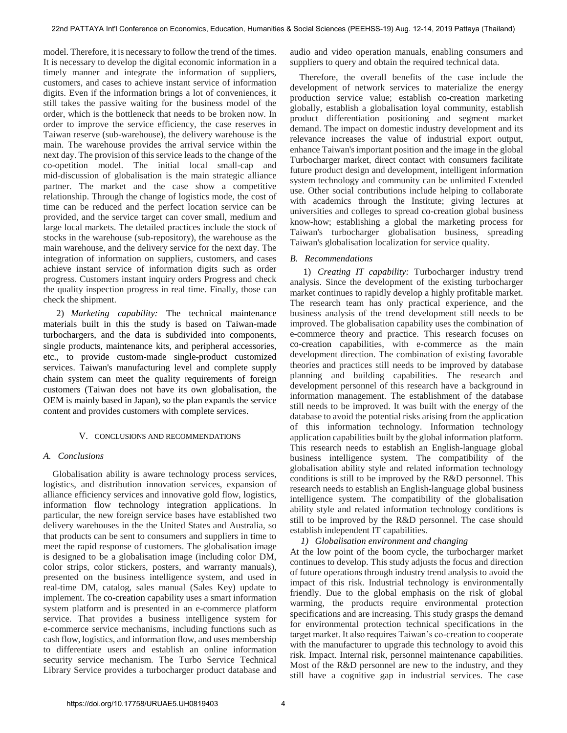model. Therefore, it is necessary to follow the trend of the times. It is necessary to develop the digital economic information in a timely manner and integrate the information of suppliers, customers, and cases to achieve instant service of information digits. Even if the information brings a lot of conveniences, it still takes the passive waiting for the business model of the order, which is the bottleneck that needs to be broken now. In order to improve the service efficiency, the case reserves in Taiwan reserve (sub-warehouse), the delivery warehouse is the main. The warehouse provides the arrival service within the next day. The provision of this service leads to the change of the co-opetition model. The initial local small-cap and mid-discussion of globalisation is the main strategic alliance partner. The market and the case show a competitive relationship. Through the change of logistics mode, the cost of time can be reduced and the perfect location service can be provided, and the service target can cover small, medium and large local markets. The detailed practices include the stock of stocks in the warehouse (sub-repository), the warehouse as the main warehouse, and the delivery service for the next day. The integration of information on suppliers, customers, and cases achieve instant service of information digits such as order progress. Customers instant inquiry orders Progress and check the quality inspection progress in real time. Finally, those can check the shipment.

2) *Marketing capability:* The technical maintenance materials built in this the study is based on Taiwan-made turbochargers, and the data is subdivided into components, single products, maintenance kits, and peripheral accessories, etc., to provide custom-made single-product customized services. Taiwan's manufacturing level and complete supply chain system can meet the quality requirements of foreign customers (Taiwan does not have its own globalisation, the OEM is mainly based in Japan), so the plan expands the service content and provides customers with complete services.

## V. CONCLUSIONS AND RECOMMENDATIONS

## *A. Conclusions*

Globalisation ability is aware technology process services, logistics, and distribution innovation services, expansion of alliance efficiency services and innovative gold flow, logistics, information flow technology integration applications. In particular, the new foreign service bases have established two delivery warehouses in the the United States and Australia, so that products can be sent to consumers and suppliers in time to meet the rapid response of customers. The globalisation image is designed to be a globalisation image (including color DM, color strips, color stickers, posters, and warranty manuals), presented on the business intelligence system, and used in real-time DM, catalog, sales manual (Sales Key) update to implement. The co-creation capability uses a smart information system platform and is presented in an e-commerce platform service. That provides a business intelligence system for e-commerce service mechanisms, including functions such as cash flow, logistics, and information flow, and uses membership to differentiate users and establish an online information security service mechanism. The Turbo Service Technical Library Service provides a turbocharger product database and

audio and video operation manuals, enabling consumers and suppliers to query and obtain the required technical data.

 Therefore, the overall benefits of the case include the development of network services to materialize the energy production service value; establish co-creation marketing globally, establish a globalisation loyal community, establish product differentiation positioning and segment market demand. The impact on domestic industry development and its relevance increases the value of industrial export output, enhance Taiwan's important position and the image in the global Turbocharger market, direct contact with consumers facilitate future product design and development, intelligent information system technology and community can be unlimited Extended use. Other social contributions include helping to collaborate with academics through the Institute; giving lectures at universities and colleges to spread co-creation global business know-how; establishing a global the marketing process for Taiwan's turbocharger globalisation business, spreading Taiwan's globalisation localization for service quality.

## *B. Recommendations*

1) *Creating IT capability:* Turbocharger industry trend analysis. Since the development of the existing turbocharger market continues to rapidly develop a highly profitable market. The research team has only practical experience, and the business analysis of the trend development still needs to be improved. The globalisation capability uses the combination of e-commerce theory and practice. This research focuses on co-creation capabilities, with e-commerce as the main development direction. The combination of existing favorable theories and practices still needs to be improved by database planning and building capabilities. The research and development personnel of this research have a background in information management. The establishment of the database still needs to be improved. It was built with the energy of the database to avoid the potential risks arising from the application of this information technology. Information technology application capabilities built by the global information platform. This research needs to establish an English-language global business intelligence system. The compatibility of the globalisation ability style and related information technology conditions is still to be improved by the R&D personnel. This research needs to establish an English-language global business intelligence system. The compatibility of the globalisation ability style and related information technology conditions is still to be improved by the R&D personnel. The case should establish independent IT capabilities.

## *1) Globalisation environment and changing*

At the low point of the boom cycle, the turbocharger market continues to develop. This study adjusts the focus and direction of future operations through industry trend analysis to avoid the impact of this risk. Industrial technology is environmentally friendly. Due to the global emphasis on the risk of global warming, the products require environmental protection specifications and are increasing. This study grasps the demand for environmental protection technical specifications in the target market. It also requires Taiwan's co-creation to cooperate with the manufacturer to upgrade this technology to avoid this risk. Impact. Internal risk, personnel maintenance capabilities. Most of the R&D personnel are new to the industry, and they still have a cognitive gap in industrial services. The case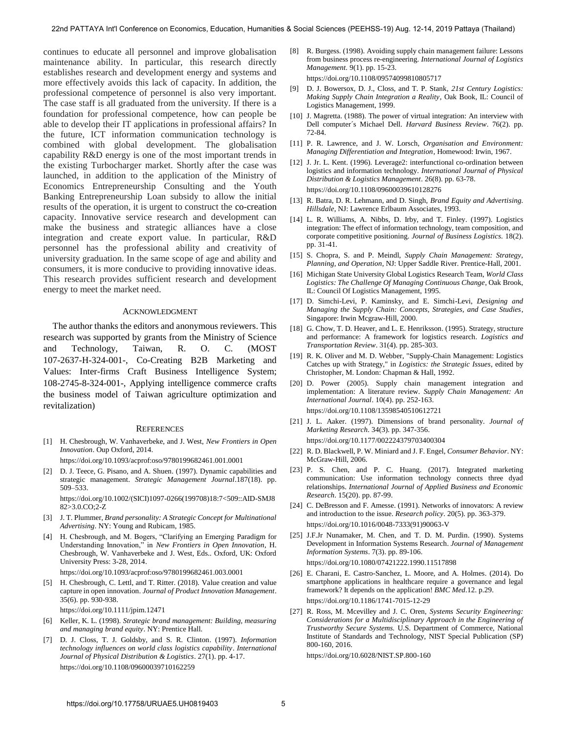continues to educate all personnel and improve globalisation maintenance ability. In particular, this research directly establishes research and development energy and systems and more effectively avoids this lack of capacity. In addition, the professional competence of personnel is also very important. The case staff is all graduated from the university. If there is a foundation for professional competence, how can people be able to develop their IT applications in professional affairs? In the future, ICT information communication technology is combined with global development. The globalisation capability R&D energy is one of the most important trends in the existing Turbocharger market. Shortly after the case was launched, in addition to the application of the Ministry of Economics Entrepreneurship Consulting and the Youth Banking Entrepreneurship Loan subsidy to allow the initial results of the operation, it is urgent to construct the co-creation capacity. Innovative service research and development can make the business and strategic alliances have a close integration and create export value. In particular, R&D personnel has the professional ability and creativity of university graduation. In the same scope of age and ability and consumers, it is more conducive to providing innovative ideas. This research provides sufficient research and development energy to meet the market need.

#### ACKNOWLEDGMENT

The author thanks the editors and anonymous reviewers. This research was supported by grants from the Ministry of Science and Technology, Taiwan, R. O. C. (MOST 107-2637-H-324-001-, Co-Creating B2B Marketing and Values: Inter-firms Craft Business Intelligence System; 108-2745-8-324-001-, Applying intelligence commerce crafts the business model of Taiwan agriculture optimization and revitalization)

#### **REFERENCES**

[1] [H. Chesbrough, W. Vanhaverbeke, and J. West,](https://doi.org/10.1093/acprof:oso/9780199682461.001.0001) *New Frontiers in Open Innovation*[. Oup Oxford, 2014.](https://doi.org/10.1093/acprof:oso/9780199682461.001.0001)

https://doi.org/10.1093/acprof:oso/9780199682461.001.0001

[2] D. J. Teece, G. Pisano, and A. Shuen. (1997). Dynamic capabilities and strategic management. *[Strategic Management Journal](https://doi.org/10.1002/(SICI)1097-0266(199708)18:7%3c509::AID-SMJ882%3e3.0.CO;2-Z)*.187(18). pp. [509–533.](https://doi.org/10.1002/(SICI)1097-0266(199708)18:7%3c509::AID-SMJ882%3e3.0.CO;2-Z) 

https://doi.org/10.1002/(SICI)1097-0266(199708)18:7<509::AID-SMJ8 82>3.0.CO;2-Z

- [3] J. T. Plummer, *Brand personality: A Strategic Concept for Multinational Advertising*. NY: Young and Rubicam, 1985.
- [4] [H. Chesbrough, and M. Bogers, "Clarifying an Emerging Paradigm for](https://doi.org/10.1093/acprof:oso/9780199682461.003.0001)  Understanding Innovation," in *[New Frontiers in Open Innovation](https://doi.org/10.1093/acprof:oso/9780199682461.003.0001)*, H. [Chesbrough, W. Vanhaverbeke and J. West, Eds.. Oxford, UK: Oxford](https://doi.org/10.1093/acprof:oso/9780199682461.003.0001)  [University Press: 3-28, 2014.](https://doi.org/10.1093/acprof:oso/9780199682461.003.0001)

https://doi.org/10.1093/acprof:oso/9780199682461.003.0001

H. Chesbrough, C. Lettl, and T. Ritter. (2018). Value creation and value capture in open innovation. *[Journal of Product Innovation Management](https://doi.org/10.1111/jpim.12471)*. [35\(6\). pp. 930-938.](https://doi.org/10.1111/jpim.12471) 

https://doi.org/10.1111/jpim.12471

- [6] Keller, K. L. (1998). *Strategic brand management: Building, measuring and managing brand equity*. NY: Prentice Hall.
- [7] [D. J. Closs, T. J. Goldsby, and S. R. Clinton. \(1997\).](https://doi.org/10.1108/09600039710162259) *Information [technology influences on world class logistics capability](https://doi.org/10.1108/09600039710162259)*. *International [Journal of Physical Distribution & Logistics](https://doi.org/10.1108/09600039710162259)*. 27(1). pp. 4-17. https://doi.org/10.1108/09600039710162259
- [8] [R. Burgess. \(1998\). Avoiding supply chain management failure: Lessons](https://doi.org/10.1108/09574099810805717)  [from business process re-engineering.](https://doi.org/10.1108/09574099810805717) *International Journal of Logistics Management.* [9\(1\). pp. 15-23.](https://doi.org/10.1108/09574099810805717)  https://doi.org/10.1108/09574099810805717
- [9] D. J. Bowersox, D. J., Closs, and T. P. Stank, *21st Century Logistics: Making Supply Chain Integration a Reality*, Oak Book, IL: Council of Logistics Management, 1999.
- [10] J. Magretta. (1988). The power of virtual integration: An interview with Dell computer´s Michael Dell. *Harvard Business Review*. 76(2). pp. 72-84.
- [11] P. R. Lawrence, and J. W. Lorsch, *Organisation and Environment: Managing Differentiation and Integration*, Homewood: Irwin, 1967.
- [12] [J. Jr. L. Kent. \(1996\). Leverage2: interfunctional co-ordination between](https://doi.org/10.1108/09600039610128276)  [logistics and information technology.](https://doi.org/10.1108/09600039610128276) *International Journal of Physical [Distribution & Logistics Management](https://doi.org/10.1108/09600039610128276)*. 26(8). pp. 63-78. https://doi.org/10.1108/09600039610128276
- [13] R. Batra, D. R. Lehmann, and D. Singh, *Brand Equity and Advertising. Hillsdale*, NJ: Lawrence Erlbaum Associates, 1993.
- [14] L. R. Williams, A. Nibbs, D. Irby, and T. Finley. (1997). Logistics integration: The effect of information technology, team composition, and corporate competitive positioning. *Journal of Business Logistics*. 18(2). pp. 31-41.
- [15] S. Chopra, S. and P. Meindl, *Supply Chain Management: Strategy, Planning, and Operation*, NJ: Upper Saddle River. Prentice-Hall, 2001.
- [16] Michigan State University Global Logistics Research Team, *World Class Logistics: The Challenge Of Managing Continuous Change*, Oak Brook, IL: Council Of Logistics Management, 1995.
- [17] D. Simchi-Levi, P. Kaminsky, and E. Simchi-Levi, *Designing and Managing the Supply Chain: Concepts, Strategies, and Case Studies*, Singapore: Irwin Mcgraw-Hill, 2000.
- [18] G. Chow, T. D. Heaver, and L. E. Henriksson. (1995). Strategy, structure and performance: A framework for logistics research. *Logistics and Transportation Review*. 31(4). pp. 285-303.
- [19] R. K. Oliver and M. D. Webber, "Supply-Chain Management: Logistics Catches up with Strategy," in *Logistics: the Strategic Issues*, edited by Christopher, M. London: Chapman & Hall, 1992.
- [20] D. Power (2005). Supply chain management integration and [implementation: A literature review.](https://doi.org/10.1108/13598540510612721) *Supply Chain Management: An [International Journal](https://doi.org/10.1108/13598540510612721)*. 10(4). pp. 252-163. https://doi.org/10.1108/13598540510612721
- [21] [J. L. Aaker. \(1997\). Dimensions of brand personality.](https://doi.org/10.1177/002224379703400304) *Journal of Marketing Research*[. 34\(3\). pp. 347-356.](https://doi.org/10.1177/002224379703400304)  https://doi.org/10.1177/002224379703400304
- [22] R. D. Blackwell, P. W. Miniard and J. F. Engel, *Consumer Behavior*. NY: McGraw-Hill, 2006.
- [23] P. S. Chen, and P. C. Huang. (2017). Integrated marketing communication: Use information technology connects three dyad relationships. *International Journal of Applied Business and Economic Research*. 15(20). pp. 87-99.
- [24] C. DeBresson and F. Amesse. (1991). Networks of innovators: A review [and introduction to the issue.](https://doi.org/10.1016/0048-7333(91)90063-V) *Research policy*. 20(5). pp. 363-379. https://doi.org/10.1016/0048-7333(91)90063-V
- [25] J.F.Jr Nunamaker, M. Chen, and T. D. M. Purdin. (1990). Systems [Development in Information Systems Research.](https://doi.org/10.1080/07421222.1990.11517898) *Journal of Management [Information Systems](https://doi.org/10.1080/07421222.1990.11517898)*. 7(3). pp. 89-106. https://doi.org/10.1080/07421222.1990.11517898
- [26] [E. Charani, E. Castro-Sanchez, L. Moore, and A. Holmes. \(2014\). Do](https://doi.org/10.1186/1741-7015-12-29)  [smartphone applications in healthcare require a governance and legal](https://doi.org/10.1186/1741-7015-12-29)  [framework? It depends on the application!](https://doi.org/10.1186/1741-7015-12-29) *BMC Med*.12. p.29. https://doi.org/10.1186/1741-7015-12-29
- [27] [R. Ross, M. Mcevilley and J. C. Oren,](https://doi.org/10.6028/NIST.SP.800-160) *Systems Security Engineering: [Considerations for a Multidisciplinary Approach in the Engineering of](https://doi.org/10.6028/NIST.SP.800-160)  Trustworthy Secure Systems.* [U.S. Department of Commerce, National](https://doi.org/10.6028/NIST.SP.800-160)  [Institute of Standards and Technology, NIST Special Publication \(SP\)](https://doi.org/10.6028/NIST.SP.800-160)  [800-160, 2016.](https://doi.org/10.6028/NIST.SP.800-160)

https://doi.org/10.6028/NIST.SP.800-160